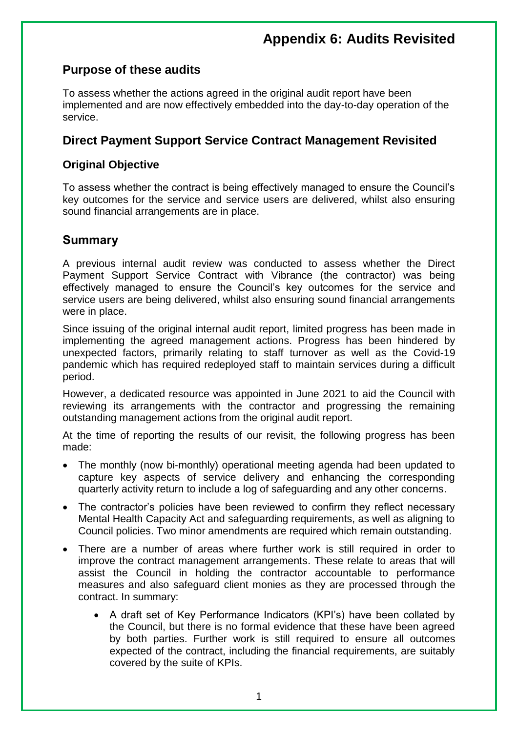# **Appendix 6: Audits Revisited**

## **Purpose of these audits**

To assess whether the actions agreed in the original audit report have been implemented and are now effectively embedded into the day-to-day operation of the service.

## **Direct Payment Support Service Contract Management Revisited**

### **Original Objective**

To assess whether the contract is being effectively managed to ensure the Council's key outcomes for the service and service users are delivered, whilst also ensuring sound financial arrangements are in place.

### **Summary**

A previous internal audit review was conducted to assess whether the Direct Payment Support Service Contract with Vibrance (the contractor) was being effectively managed to ensure the Council's key outcomes for the service and service users are being delivered, whilst also ensuring sound financial arrangements were in place.

Since issuing of the original internal audit report, limited progress has been made in implementing the agreed management actions. Progress has been hindered by unexpected factors, primarily relating to staff turnover as well as the Covid-19 pandemic which has required redeployed staff to maintain services during a difficult period.

However, a dedicated resource was appointed in June 2021 to aid the Council with reviewing its arrangements with the contractor and progressing the remaining outstanding management actions from the original audit report.

At the time of reporting the results of our revisit, the following progress has been made:

- The monthly (now bi-monthly) operational meeting agenda had been updated to capture key aspects of service delivery and enhancing the corresponding quarterly activity return to include a log of safeguarding and any other concerns.
- The contractor's policies have been reviewed to confirm they reflect necessary Mental Health Capacity Act and safeguarding requirements, as well as aligning to Council policies. Two minor amendments are required which remain outstanding.
- There are a number of areas where further work is still required in order to improve the contract management arrangements. These relate to areas that will assist the Council in holding the contractor accountable to performance measures and also safeguard client monies as they are processed through the contract. In summary:
	- A draft set of Key Performance Indicators (KPI's) have been collated by the Council, but there is no formal evidence that these have been agreed by both parties. Further work is still required to ensure all outcomes expected of the contract, including the financial requirements, are suitably covered by the suite of KPIs.